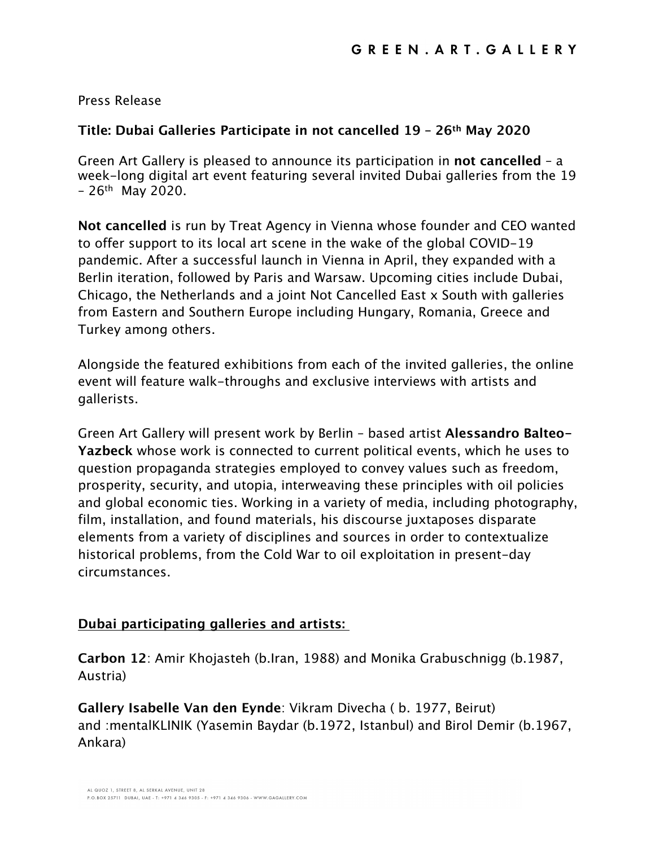Press Release

## **Title: Dubai Galleries Participate in not cancelled 19 – 26th May 2020**

Green Art Gallery is pleased to announce its participation in **not cancelled** – a week-long digital art event featuring several invited Dubai galleries from the 19  $-26$ <sup>th</sup> May 2020.

**Not cancelled** is run by Treat Agency in Vienna whose founder and CEO wanted to offer support to its local art scene in the wake of the global COVID-19 pandemic. After a successful launch in Vienna in April, they expanded with a Berlin iteration, followed by Paris and Warsaw. Upcoming cities include Dubai, Chicago, the Netherlands and a joint Not Cancelled East x South with galleries from Eastern and Southern Europe including Hungary, Romania, Greece and Turkey among others.

Alongside the featured exhibitions from each of the invited galleries, the online event will feature walk-throughs and exclusive interviews with artists and gallerists.

Green Art Gallery will present work by Berlin – based artist **Alessandro Balteo-Yazbeck** whose work is connected to current political events, which he uses to question propaganda strategies employed to convey values such as freedom, prosperity, security, and utopia, interweaving these principles with oil policies and global economic ties. Working in a variety of media, including photography, film, installation, and found materials, his discourse juxtaposes disparate elements from a variety of disciplines and sources in order to contextualize historical problems, from the Cold War to oil exploitation in present-day circumstances.

## **Dubai participating galleries and artists:**

**Carbon 12**: Amir Khojasteh (b.Iran, 1988) and Monika Grabuschnigg (b.1987, Austria)

**Gallery Isabelle Van den Eynde**: Vikram Divecha ( b. 1977, Beirut) and :mentalKLINIK (Yasemin Baydar (b.1972, Istanbul) and Birol Demir (b.1967, Ankara)